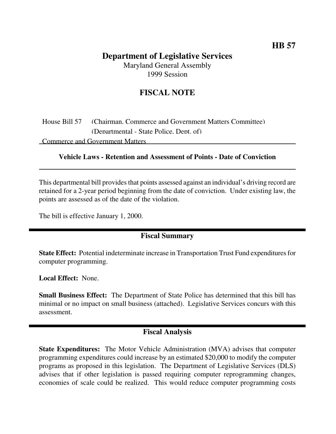## **Department of Legislative Services** Maryland General Assembly

1999 Session

# **FISCAL NOTE**

House Bill 57 (Chairman, Commerce and Government Matters Committee) (Departmental - State Police, Dept. of)

Commerce and Government Matters

#### **Vehicle Laws - Retention and Assessment of Points - Date of Conviction**

This departmental bill provides that points assessed against an individual's driving record are retained for a 2-year period beginning from the date of conviction. Under existing law, the points are assessed as of the date of the violation.

The bill is effective January 1, 2000.

## **Fiscal Summary**

**State Effect:** Potential indeterminate increase in Transportation Trust Fund expenditures for computer programming.

**Local Effect:** None.

**Small Business Effect:** The Department of State Police has determined that this bill has minimal or no impact on small business (attached). Legislative Services concurs with this assessment.

### **Fiscal Analysis**

**State Expenditures:** The Motor Vehicle Administration (MVA) advises that computer programming expenditures could increase by an estimated \$20,000 to modify the computer programs as proposed in this legislation. The Department of Legislative Services (DLS) advises that if other legislation is passed requiring computer reprogramming changes, economies of scale could be realized. This would reduce computer programming costs